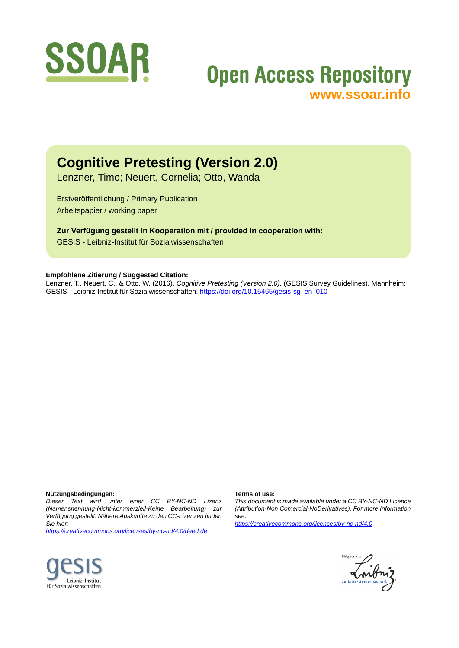

# **Open Access Repository [www.ssoar.info](http://www.ssoar.info)**

## **Cognitive Pretesting (Version 2.0)**

Lenzner, Timo; Neuert, Cornelia; Otto, Wanda

Erstveröffentlichung / Primary Publication Arbeitspapier / working paper

**Zur Verfügung gestellt in Kooperation mit / provided in cooperation with:** GESIS - Leibniz-Institut für Sozialwissenschaften

#### **Empfohlene Zitierung / Suggested Citation:**

Lenzner, T., Neuert, C., & Otto, W. (2016). *Cognitive Pretesting (Version 2.0).* (GESIS Survey Guidelines). Mannheim: GESIS - Leibniz-Institut für Sozialwissenschaften. [https://doi.org/10.15465/gesis-sg\\_en\\_010](https://doi.org/10.15465/gesis-sg_en_010)

#### **Nutzungsbedingungen:**

*Dieser Text wird unter einer CC BY-NC-ND Lizenz (Namensnennung-Nicht-kommerziell-Keine Bearbeitung) zur Verfügung gestellt. Nähere Auskünfte zu den CC-Lizenzen finden Sie hier:*

*<https://creativecommons.org/licenses/by-nc-nd/4.0/deed.de>*

#### **Terms of use:**

*This document is made available under a CC BY-NC-ND Licence (Attribution-Non Comercial-NoDerivatives). For more Information see:*

*<https://creativecommons.org/licenses/by-nc-nd/4.0>*



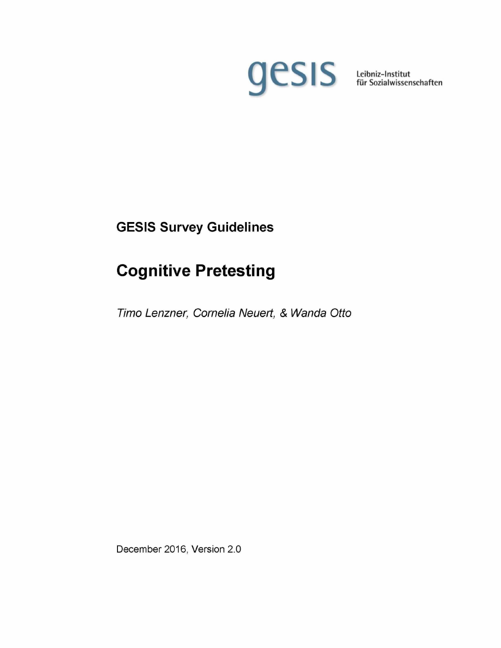

**Leibniz-Institut für Sozialwissenschaften**

## **GESIS Survey Guidelines**

# **Cognitive Pretesting**

*Timo Lenzner, Cornelia Neuert, & Wanda Otto*

December 2016, Version 2,0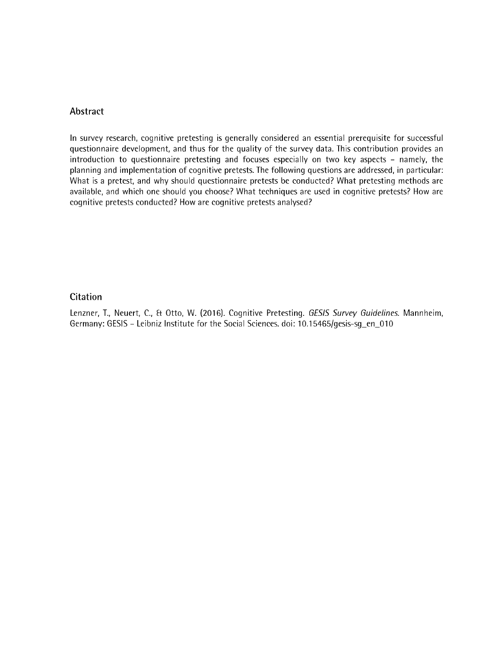#### **Abstract**

In survey research, cognitive pretesting is generally considered an essential prerequisite for successful questionnaire development, and thus for the quality of the survey data. This contribution provides an introduction to questionnaire pretesting and focuses especially on two key aspects - namely, the planning and implementation of cognitive pretests. The following questions are addressed, in particular: What is a pretest, and why should questionnaire pretests be conducted? What pretesting methods are available, and which one should you choose? What techniques are used in cognitive pretests? How are cognitive pretests conducted? How are cognitive pretests analysed?

#### **Citation**

Lenzner, T., Neuert, C., Et Otto, W. (2016). Cognitive Pretesting. *GESIS Survey Guidelines.* Mannheim, Germany: GESIS - Leibniz Institute for the Social Sciences, doi: 10.15465/gesis-sg\_en\_010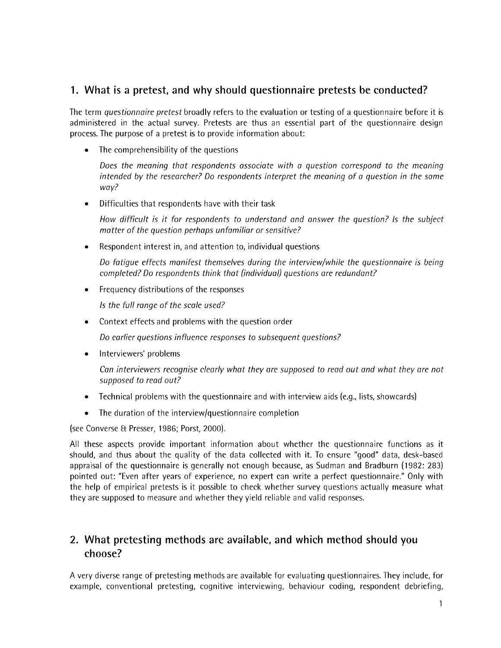### **1. What is a pretest, and why should questionnaire pretests be conducted?**

The term *questionnaire pretest* broadly refers to the evaluation or testing of a questionnaire before it is administered in the actual survey. Pretests are thus an essential part of the questionnaire design process. The purpose of a pretest is to provide information about:

The comprehensibility of the questions

*Does the meaning that respondents associate with a question correspond to the meaning intended by the researcher? Do respondents interpret the meaning of a question in the same way?*

• Difficulties that respondents have with their task

*How difficult is it for respondents to understand and answer the question? Is the subject matter of the question perhaps unfamiliar or sensitive?*

• Respondent interest in, and attention to, individual questions

*Do fatigue effects manifest themselves during the interview/while the questionnaire is being completed? Do respondents think that (individual) questions are redundant?*

Frequency distributions of the responses

*Is the full range of the scale used?*

Context effects and problems with the question order

*Do earlier questions influence responses to subsequent questions?*

Interviewers' problems

*Can interviewers recognise clearly what they are supposed to read out and what they are not supposed to read out?*

- Technical problems with the questionnaire and with interview aids (e.g., lists, showcards)
- The duration of the interview/questionnaire completion

(see Converse & Presser, 1986; Porst, 2000).

All these aspects provide important information about whether the questionnaire functions as it should, and thus about the quality of the data collected with it. To ensure "good" data, desk-based appraisal of the questionnaire is generally not enough because, as Sudman and Bradburn (1982: 283) pointed out: "Even after years of experience, no expert can write a perfect questionnaire." Only with the help of empirical pretests is it possible to cheek whether survey questions actually measure what they are supposed to measure and whether they yield reliable and valid responses.

### **2. What pretesting methods are available, and which method should you choose?**

A very diverse range of pretesting methods are available for evaluating questionnaires. They include, for example, conventional pretesting, cognitive interviewing, behaviour coding, respondent debriefing,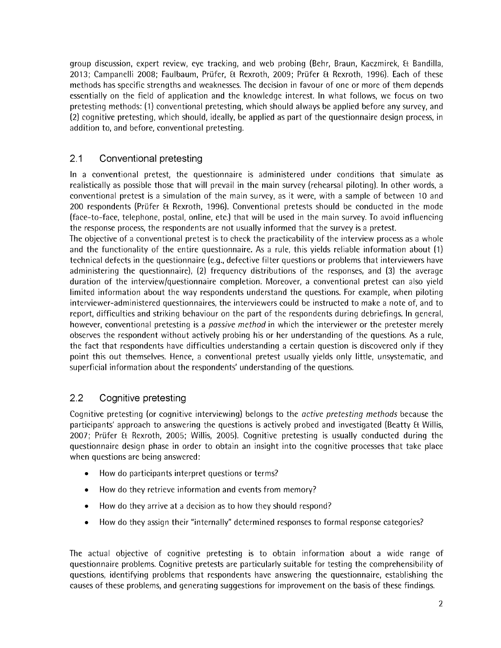group discussion, expert review, eye tracking, and web probing (Behr, Braun, Kaczmirek, & Bandilla, 2013; Campanelli 2008; Faulbaum, Prüfer, Et Rexroth, 2009; Prüfer Et Rexroth, 1996). Each of these methods has specific strengths and weaknesses. The decision in favour of one or more of them depends essentially on the field of application and the knowledge interest. In what follows, we focus on two pretesting methods: (1) conventional pretesting, which should always be applied before any survey, and (2) cognitive pretesting, which should, ideally, be applied as part of the questionnaire design process, in addition to, and before, conventional pretesting.

#### 2.1 Conventional pretesting

In a conventional pretest, the questionnaire is administered under conditions that simulate as realistically as possible those that will prevail in the main survey (rehearsal piloting). In other words, a conventional pretest is a simulation of the main survey, as it were, with a sample of between 10 and 200 respondents (Prüfer £t Rexroth, 1996). Conventional pretests should be conducted in the mode (face-to-face, telephone, postal, online, etc.) that will be used in the main survey. To avoid influencing the response process, the respondents are not usually informed that the survey is a pretest.

The objective of a conventional pretest is to check the practicability of the interview process as a whole and the functionality of the entire questionnaire. As a rule, this yields reliable information about (1) technical defects in the questionnaire (e.g., defective filter questions or problems that interviewers have administering the questionnaire), (2) frequency distributions of the responses, and (3) the average duration of the interview/questionnaire completion. Moreover, a conventional pretest can also yield limited information about the way respondents understand the questions. For example, when piloting interviewer-administered questionnaires, the interviewers could be instructed to make a note of, and to report, difficulties and striking behaviour on the part of the respondents during debriefings. In general, however, conventional pretesting is a *passive method* in which the interviewer or the pretester merely observes the respondent without actively probing his or her understanding of the questions. As a rule, the fact that respondents have difficulties understanding a certain question is discovered only if they point this out themselves. Hence, a conventional pretest usually yields only little, unsystematic, and superficial information about the respondents' understanding of the questions.

#### 2.2 Cognitive pretesting

Cognitive pretesting (or cognitive interviewing) belongs to the *active pretesting methods* because the participants' approach to answering the questions is actively probed and investigated (Beatty & Willis, 2007; Prüfer Et Rexroth, 2005; Willis, 2005). Cognitive pretesting is usually conducted during the questionnaire design phase in order to obtain an insight into the cognitive processes that take place when questions are being answered:

- How do participants interpret questions or terms?
- How do they retrieve information and events from memory?
- How do they arrive at a decision as to how they should respond?
- How do they assign their "internally" determined responses to formal response categories?

The actual objective of cognitive pretesting is to obtain information about a wide range of questionnaire problems. Cognitive pretests are particularly suitable for testing the comprehensibility of questions, identifying problems that respondents have answering the questionnaire, establishing the causes of these problems, and generating suggestions for improvement on the basis of these findings.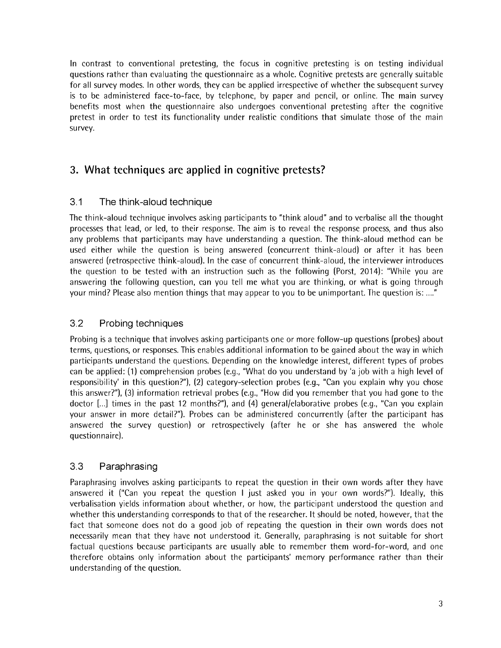In contrast to conventional pretesting, the focus in cognitive pretesting is on testing individual questions rather than evaluating the questionnaire as a whole. Cognitive pretests are generally suitable for all survey modes. In other words, they can be applied irrespective of whether the subsequent survey is to be administered faee-to-faee, by telephone, by paper and pencil, or online. The main survey benefits most when the questionnaire also undergoes conventional pretesting after the cognitive pretest in order to test its functionality under realistic conditions that simulate those of the main survey.

## **3. What techniques are applied in cognitive pretests?**

#### 3.1 The think-aloud technique

The think-aloud technique involves asking participants to "think aloud" and to verbalise all the thought processes that lead, or led, to their response. The aim is to reveal the response process, and thus also any problems that participants may have understanding a question. The think-aloud method can be used either while the question is being answered (concurrent think-aloud) or after it has been answered (retrospective think-aloud). In the case of concurrent think-aloud, the interviewer introduces the question to be tested with an instruction such as the following (Porst, 2014): "While you are answering the following question, can you tell me what you are thinking, or what is going through your mind? Please also mention things that may appear to you to be unimportant. The question is:..."

#### *3.2* Probing techniques

Probing is a technique that involves asking participants one or more follow-up questions (probes) about terms, questions, or responses. This enables additional information to be gained about the way in which participants understand the questions. Depending on the knowledge interest, different types of probes can be applied: (1) comprehension probes (e.g., "What do you understand by 'a job with a high level of responsibility' in this question?"), (2) category-selection probes (e.g., "Can you explain why you chose this answer?"), (3) information retrieval probes (e.g., "How did you remember that you had gone to the doctor [...] times in the past 12 months?"), and (4) general/elaborative probes (e.g., "Can you explain your answer in more detail?"). Probes can be administered concurrently (after the participant has answered the survey question) or retrospectively (after he or she has answered the whole questionnaire).

#### 3.3 Paraphrasing

Paraphrasing involves asking participants to repeat the question in their own words after they have answered it ("Can you repeat the question I just asked you in your own words?"). Ideally, this verbalisation yields information about whether, or how, the participant understood the question and whether this understanding corresponds to that of the researcher. It should be noted, however, that the fact that someone does not do a good job of repeating the question in their own words does not necessarily mean that they have not understood it. Generally, paraphrasing is not suitable for short factual questions because participants are usually able to remember them word-for-word, and one therefore obtains only information about the participants' memory performance rather than their understanding of the question.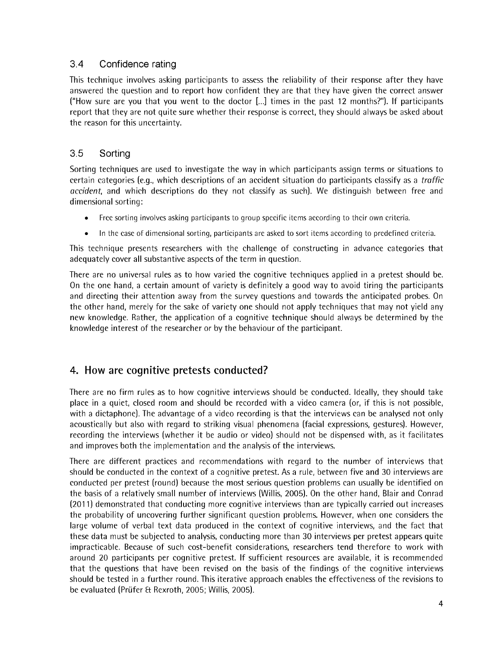#### 3.4 Confidence rating

This technique involves asking participants to assess the reliability of their response after they have answered the question and to report how confident they are that they have given the correct answer ("How sure are you that you went to the doctor [...] times in the past 12 months?"). If participants report that they are not quite sure whether their response is correct, they should always be asked about the reason for this uncertainty.

#### 3.5 Sorting

Sorting techniques are used to investigate the way in which participants assign terms or situations to certain categories (e.g., which descriptions of an accident situation do participants classify as a *traffic accident,* and which descriptions do they not classify as such). We distinguish between free and dimensional sorting:

- Free sorting involves asking participants to group specific items according to their own criteria.
- In the ease of dimensional sorting, participants are asked to sort items according to predefined criteria.

This technique presents researchers with the challenge of constructing in advance categories that adequately cover all substantive aspects of the term in question.

There are no universal rules as to how varied the cognitive techniques applied in a pretest should be. On the one hand, a certain amount of variety is definitely a good way to avoid tiring the participants and directing their attention away from the survey questions and towards the anticipated probes. On the other hand, merely for the sake of variety one should not apply techniques that may not yield any new knowledge. Rather, the application of a cognitive technique should always be determined by the knowledge interest of the researcher or by the behaviour of the participant.

#### **4. How are cognitive pretests conducted?**

There are no firm rules as to how cognitive interviews should be conducted. Ideally, they should take place in a quiet, closed room and should be recorded with a video camera (or, if this is not possible, with a dictaphone). The advantage of a video recording is that the interviews can be analysed not only acoustically but also with regard to striking visual phenomena (facial expressions, gestures). However, recording the interviews (whether it be audio or video) should not be dispensed with, as it facilitates and improves both the implementation and the analysis of the interviews.

There are different practices and recommendations with regard to the number of interviews that should be conducted in the context of a cognitive pretest. As a rule, between five and 30 interviews are conducted per pretest (round) because the most serious question problems can usually be identified on the basis of a relatively small number of interviews (Willis, 2005). On the other hand, Blair and Conrad (2011) demonstrated that conducting more cognitive interviews than are typically carried out increases the probability of uncovering further significant question problems. However, when one considers the large volume of verbal text data produced in the context of cognitive interviews, and the fact that these data must be subjected to analysis, conducting more than 30 interviews per pretest appears quite impracticable. Because of such cost-benefit considerations, researchers tend therefore to work with around 20 participants per cognitive pretest. If sufficient resources are available, it is recommended that the questions that have been revised on the basis of the findings of the cognitive interviews should be tested in a further round. This iterative approach enables the effectiveness of the revisions to be evaluated (Prüfer & Rexroth, 2005; Willis, 2005).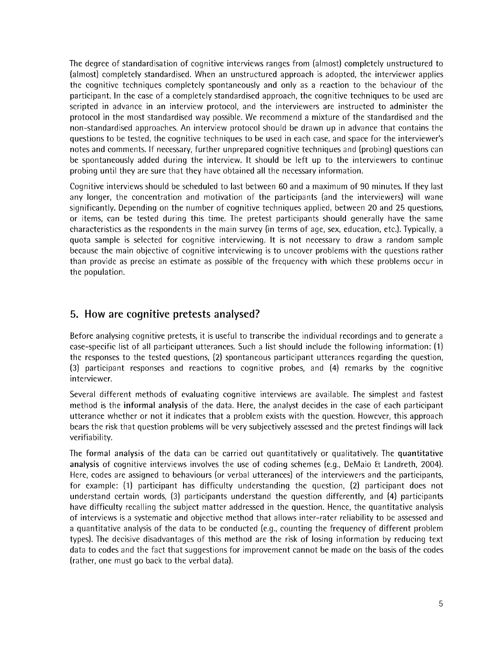The degree of standardisation of cognitive interviews ranges from (almost) completely unstructured to (almost) completely standardised. When an unstructured approach is adopted, the interviewer applies the cognitive techniques completely spontaneously and only as a reaction to the behaviour of the participant. In the case of a completely standardised approach, the cognitive techniques to be used are scripted in advance in an interview protocol, and the interviewers are instructed to administer the protocol in the most standardised way possible. We recommend a mixture of the standardised and the non-standardised approaches. An interview protocol should be drawn up in advance that contains the questions to be tested, the cognitive techniques to be used in each ease, and space for the interviewer's notes and comments. If necessary, further unprepared cognitive techniques and (probing) questions can be spontaneously added during the interview. It should be left up to the interviewers to continue probing until they are sure that they have obtained all the necessary information.

Cognitive interviews should be scheduled to last between 60 and a maximum of 90 minutes. If they last any longer, the concentration and motivation of the participants (and the interviewers) will wane significantly. Depending on the number of cognitive techniques applied, between 20 and 25 questions, or items, can be tested during this time. The pretest participants should generally have the same characteristics as the respondents in the main survey (in terms of age, sex, education, etc.). Typically, a quota sample is selected for cognitive interviewing. It is not necessary to draw a random sample because the main objective of cognitive interviewing is to uncover problems with the questions rather than provide as precise an estimate as possible of the frequency with which these problems occur in the population.

#### **5. How are cognitive pretests analysed?**

Before analysing cognitive pretests, it is useful to transcribe the individual recordings and to generate a case-specific list of all participant utterances. Such a list should include the following information: (1) the responses to the tested questions, (2) spontaneous participant utterances regarding the question, (3) participant responses and reactions to cognitive probes, and (4) remarks by the cognitive interviewer.

Several different methods of evaluating cognitive interviews are available. The simplest and fastest method is the informal analysis of the data. Here, the analyst decides in the case of each participant utterance whether or not it indicates that a problem exists with the question. However, this approach bears the risk that question problems will be very subjectively assessed and the pretest findings will lack verifiability.

The formal analysis of the data can be carried out quantitatively or qualitatively. The quantitative analysis of cognitive interviews involves the use of coding schemes (e.g., DeMaio ft Landreth, 2004). Here, codes are assigned to behaviours (or verbal utterances) of the interviewers and the participants, for example: (1) participant has difficulty understanding the question, (2) participant does not understand certain words, (3) participants understand the question differently, and (4) participants have difficulty recalling the subject matter addressed in the question. Hence, the quantitative analysis of interviews is a systematic and objective method that allows inter-rater reliability to be assessed and a quantitative analysis of the data to be conducted (e.g., counting the frequency of different problem types). The decisive disadvantages of this method are the risk of losing information by reducing text data to codes and the fact that suggestions for improvement cannot be made on the basis of the codes (rather, one must go back to the verbal data).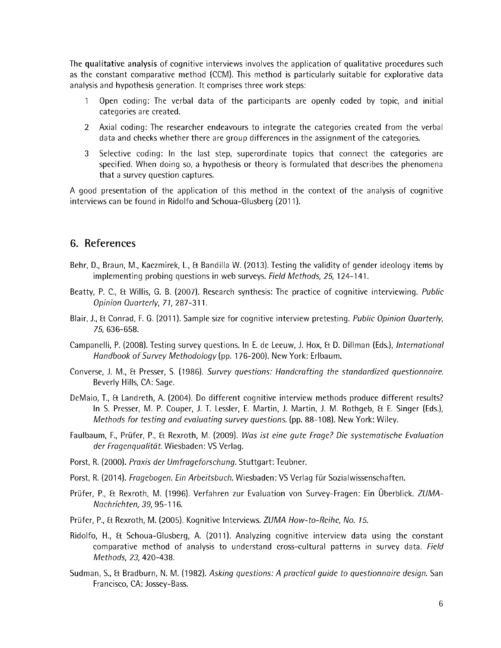The qualitative analysis of cognitive interviews involves the application of qualitative procedures such as the constant comparative method (CCM). This method is particularly suitable for explorative data analysis and hypothesis generation. It comprises three work steps:

- 1 Open coding: The verbal data of the participants are openly coded by topic, and initial categories are created.
- 2 Axial coding: The researcher endeavours to integrate the categories created from the verbal data and checks whether there are group differences in the assignment of the categories.
- 3 Selective coding: In the last step, superordinate topics that connect the categories are specified. When doing so, a hypothesis or theory is formulated that describes the phenomena that a survey question captures.

A good presentation of the application of this method in the context of the analysis of cognitive interviews can be found in Ridolfo and Schoua-Glusberg (2011).

#### **6. References**

- Behr, D., Braun, M., Kaczmirek, L, Et Bandilla W. (2013). Testing the validity of gender ideology items by implementing probing questions in web surveys. *Field Methods, 25,* 124-141.
- Beatty, P. C., Et Willis, G. B. (2007). Research synthesis: The practice of cognitive interviewing. *Public Opinion Quarterly, 71,* 287-311.
- Blair, J., Et Conrad, F. G. (2011). Sample size for cognitive interview pretesting. *Public Opinion Quarterly, 75,* 636-658.
- Campanelli, P. (2008). Testing survey questions. In E. de Leeuw, J. Hox, Et D. Dillman (Eds.), *International Handbook of Survey Methodology* (pp. 176-200). New York: Erlbaum.
- Converse, J. M., Et Presser, S. (1986). *Survey questions: Handcrafting the standardized questionnaire.* Beverly Hills, CA: Sage.
- DeMaio, T., Et Landreth, A. (2004). Do different cognitive interview methods produce different results? In S. Presser, M. P. Couper, J. T. Lessler, E. Martin, J. Martin, J. M. Rothgeb, Et E. Singer (Eds.), *Methods for testing and evaluating survey questions,* (pp. 88-108). New York: Wiley.
- Faulbaum, F., Prüfer, P., Et Rexroth, M. (2009). Was *ist eine gute Frage? Die systematische Evaluation der Fragenqualität.* Wiesbaden: VS Verlag.
- Porst, R. (2000). *Praxis der Umfrageforschung.* Stuttgart: Teubner.
- Porst, R. (2014). *Fragebogen. Ein Arbeitsbuch.* Wiesbaden: VS Verlag für Sozialwissenschaften.
- Prüfer, P., Et Rexroth, M. (1996). Verfahren zur Evaluation von Survey-Fragen: Ein Überblick. *ZUMA-Nachrichten, 39,* 95-116.
- Prüfer, P., Et Rexroth, M. (2005). Kognitive Interviews. *ZUMA How-to-Reihe, No. 15.*
- Ridolfo, H., Et Schoua-Glusberg, A. (2011). Analyzing cognitive interview data using the constant comparative method of analysis to understand cross-cultural patterns in survey data. *Field Methods, 23,* 420-438.
- Sudman, S., Et Bradburn, N. M. (1982). *Asking questions: A practical guide to questionnaire design.* San Francisco, CA: Jossey-Bass.